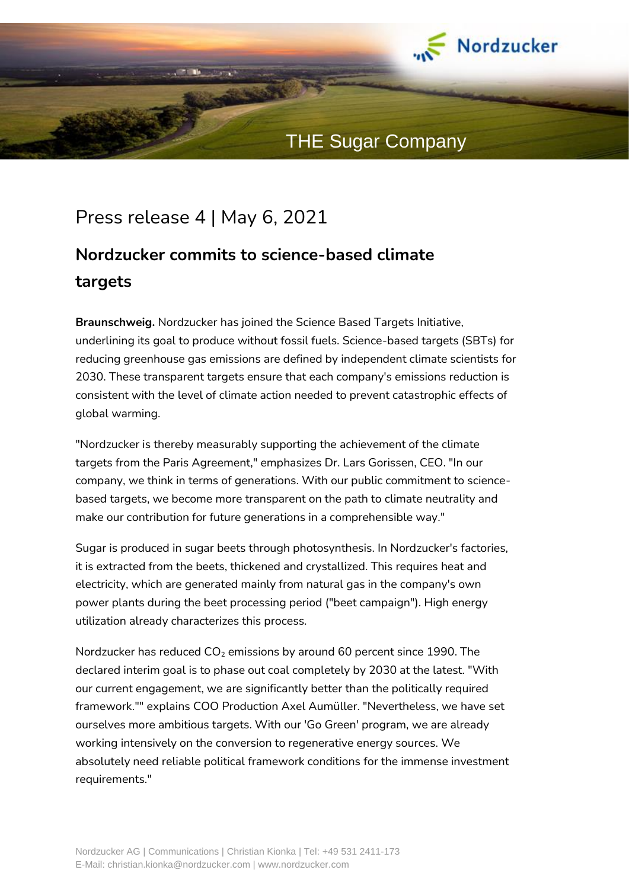

## Press release 4 | May 6, 2021

## **Nordzucker commits to science-based climate targets**

**Braunschweig.** Nordzucker has joined the Science Based Targets Initiative, underlining its goal to produce without fossil fuels. Science-based targets (SBTs) for reducing greenhouse gas emissions are defined by independent climate scientists for 2030. These transparent targets ensure that each company's emissions reduction is consistent with the level of climate action needed to prevent catastrophic effects of global warming.

"Nordzucker is thereby measurably supporting the achievement of the climate targets from the Paris Agreement," emphasizes Dr. Lars Gorissen, CEO. "In our company, we think in terms of generations. With our public commitment to sciencebased targets, we become more transparent on the path to climate neutrality and make our contribution for future generations in a comprehensible way."

Sugar is produced in sugar beets through photosynthesis. In Nordzucker's factories, it is extracted from the beets, thickened and crystallized. This requires heat and electricity, which are generated mainly from natural gas in the company's own power plants during the beet processing period ("beet campaign"). High energy utilization already characterizes this process.

Nordzucker has reduced  $CO<sub>2</sub>$  emissions by around 60 percent since 1990. The declared interim goal is to phase out coal completely by 2030 at the latest. "With our current engagement, we are significantly better than the politically required framework."" explains COO Production Axel Aumüller. "Nevertheless, we have set ourselves more ambitious targets. With our 'Go Green' program, we are already working intensively on the conversion to regenerative energy sources. We absolutely need reliable political framework conditions for the immense investment requirements."